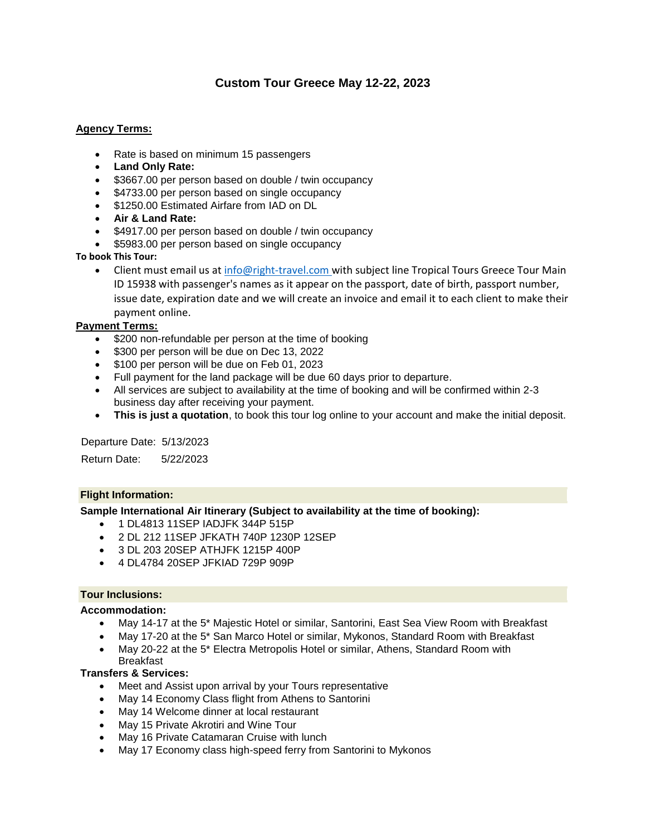# **Custom Tour Greece May 12-22, 2023**

#### **Agency Terms:**

- Rate is based on minimum 15 passengers
- **Land Only Rate:**
- \$3667.00 per person based on double / twin occupancy
- \$4733.00 per person based on single occupancy
- \$1250.00 Estimated Airfare from IAD on DL
- **Air & Land Rate:**
- \$4917.00 per person based on double / twin occupancy
- \$5983.00 per person based on single occupancy

#### **To book This Tour:**

• Client must email us at [info@right-travel.com](mailto:info@right-travel.com) with subject line Tropical Tours Greece Tour Main ID 15938 with passenger's names as it appear on the passport, date of birth, passport number, issue date, expiration date and we will create an invoice and email it to each client to make their payment online.

#### **Payment Terms:**

- \$200 non-refundable per person at the time of booking
- \$300 per person will be due on Dec 13, 2022
- **•** \$100 per person will be due on Feb 01, 2023
- Full payment for the land package will be due 60 days prior to departure.
- All services are subject to availability at the time of booking and will be confirmed within 2-3 business day after receiving your payment.
- **This is just a quotation**, to book this tour log online to your account and make the initial deposit.

Departure Date: 5/13/2023

Return Date: 5/22/2023

#### **Flight Information:**

#### **Sample International Air Itinerary (Subject to availability at the time of booking):**

- 1 DL4813 11SEP IADJFK 344P 515P
- 2 DL 212 11SEP JFKATH 740P 1230P 12SEP
- 3 DL 203 20SEP ATHJFK 1215P 400P
- 4 DL4784 20SEP JFKIAD 729P 909P

#### **Tour Inclusions:**

#### **Accommodation:**

- May 14-17 at the 5\* Majestic Hotel or similar, Santorini, East Sea View Room with Breakfast
- May 17-20 at the 5\* San Marco Hotel or similar, Mykonos, Standard Room with Breakfast
- May 20-22 at the 5\* Electra Metropolis Hotel or similar, Athens, Standard Room with **Breakfast**

#### **Transfers & Services:**

- Meet and Assist upon arrival by your Tours representative
- May 14 Economy Class flight from Athens to Santorini
- May 14 Welcome dinner at local restaurant
- May 15 Private Akrotiri and Wine Tour
- May 16 Private Catamaran Cruise with lunch
- May 17 Economy class high-speed ferry from Santorini to Mykonos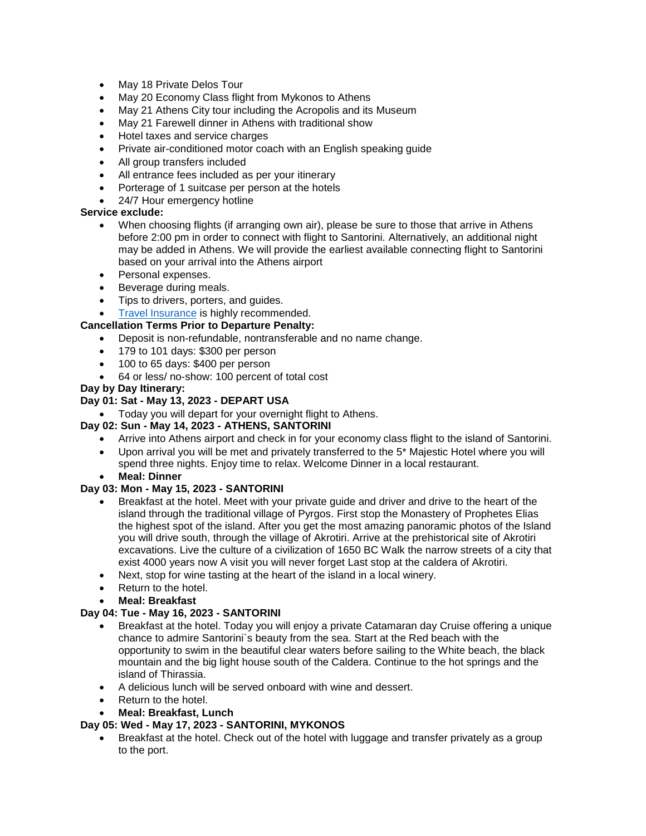- May 18 Private Delos Tour
- May 20 Economy Class flight from Mykonos to Athens
- May 21 Athens City tour including the Acropolis and its Museum
- May 21 Farewell dinner in Athens with traditional show
- Hotel taxes and service charges
- Private air-conditioned motor coach with an English speaking guide
- All group transfers included
- All entrance fees included as per your itinerary
- Porterage of 1 suitcase per person at the hotels
- 24/7 Hour emergency hotline

# **Service exclude:**

- When choosing flights (if arranging own air), please be sure to those that arrive in Athens before 2:00 pm in order to connect with flight to Santorini. Alternatively, an additional night may be added in Athens. We will provide the earliest available connecting flight to Santorini based on your arrival into the Athens airport
- Personal expenses.
- Beverage during meals.
- Tips to drivers, porters, and guides.
- [Travel Insurance](http://www.travelinsured.com/agency?agency=47344&r=http3a2f2fwww.righttravel.info2f) is highly recommended.

# **Cancellation Terms Prior to Departure Penalty:**

- Deposit is non-refundable, nontransferable and no name change.
- 179 to 101 days: \$300 per person
- 100 to 65 days: \$400 per person
- 64 or less/ no-show: 100 percent of total cost

## **Day by Day Itinerary:**

# **Day 01: Sat - May 13, 2023 - DEPART USA**

Today you will depart for your overnight flight to Athens.

## **Day 02: Sun - May 14, 2023 - ATHENS, SANTORINI**

- Arrive into Athens airport and check in for your economy class flight to the island of Santorini.
- Upon arrival you will be met and privately transferred to the 5\* Majestic Hotel where you will spend three nights. Enjoy time to relax. Welcome Dinner in a local restaurant.
- **Meal: Dinner**

## **Day 03: Mon - May 15, 2023 - SANTORINI**

- Breakfast at the hotel. Meet with your private guide and driver and drive to the heart of the island through the traditional village of Pyrgos. First stop the Monastery of Prophetes Elias the highest spot of the island. After you get the most amazing panoramic photos of the Island you will drive south, through the village of Akrotiri. Arrive at the prehistorical site of Akrotiri excavations. Live the culture of a civilization of 1650 BC Walk the narrow streets of a city that exist 4000 years now A visit you will never forget Last stop at the caldera of Akrotiri.
- Next, stop for wine tasting at the heart of the island in a local winery.
- Return to the hotel.
- **Meal: Breakfast**

## **Day 04: Tue - May 16, 2023 - SANTORINI**

- Breakfast at the hotel. Today you will enjoy a private Catamaran day Cruise offering a unique chance to admire Santorini`s beauty from the sea. Start at the Red beach with the opportunity to swim in the beautiful clear waters before sailing to the White beach, the black mountain and the big light house south of the Caldera. Continue to the hot springs and the island of Thirassia.
- A delicious lunch will be served onboard with wine and dessert.
- Return to the hotel.
- **Meal: Breakfast, Lunch**

## **Day 05: Wed - May 17, 2023 - SANTORINI, MYKONOS**

• Breakfast at the hotel. Check out of the hotel with luggage and transfer privately as a group to the port.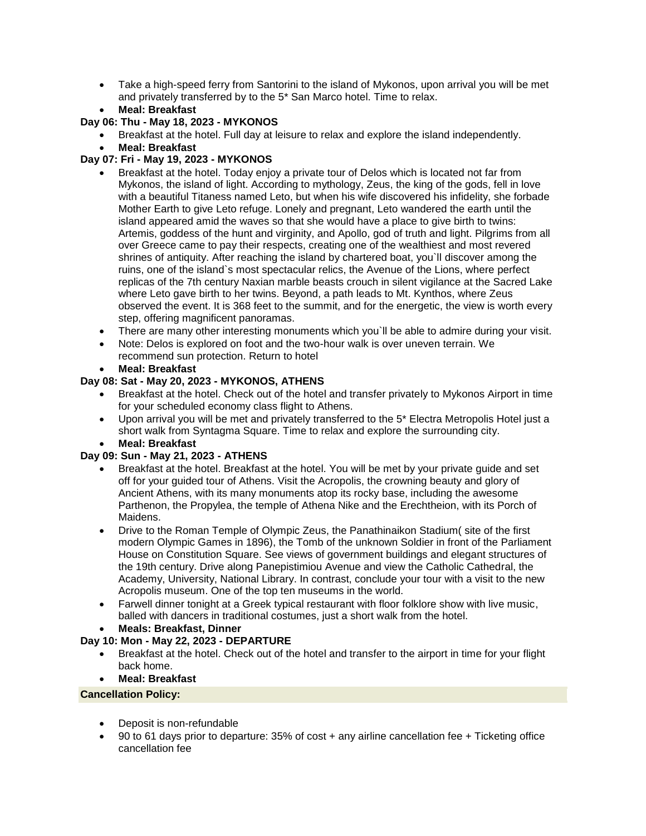- Take a high-speed ferry from Santorini to the island of Mykonos, upon arrival you will be met and privately transferred by to the 5\* San Marco hotel. Time to relax.
- **Meal: Breakfast**

# **Day 06: Thu - May 18, 2023 - MYKONOS**

- Breakfast at the hotel. Full day at leisure to relax and explore the island independently.
- **Meal: Breakfast**

# **Day 07: Fri - May 19, 2023 - MYKONOS**

- Breakfast at the hotel. Today enjoy a private tour of Delos which is located not far from Mykonos, the island of light. According to mythology, Zeus, the king of the gods, fell in love with a beautiful Titaness named Leto, but when his wife discovered his infidelity, she forbade Mother Earth to give Leto refuge. Lonely and pregnant, Leto wandered the earth until the island appeared amid the waves so that she would have a place to give birth to twins: Artemis, goddess of the hunt and virginity, and Apollo, god of truth and light. Pilgrims from all over Greece came to pay their respects, creating one of the wealthiest and most revered shrines of antiquity. After reaching the island by chartered boat, you`ll discover among the ruins, one of the island`s most spectacular relics, the Avenue of the Lions, where perfect replicas of the 7th century Naxian marble beasts crouch in silent vigilance at the Sacred Lake where Leto gave birth to her twins. Beyond, a path leads to Mt. Kynthos, where Zeus observed the event. It is 368 feet to the summit, and for the energetic, the view is worth every step, offering magnificent panoramas.
- There are many other interesting monuments which you`ll be able to admire during your visit.
- Note: Delos is explored on foot and the two-hour walk is over uneven terrain. We recommend sun protection. Return to hotel
- **Meal: Breakfast**

## **Day 08: Sat - May 20, 2023 - MYKONOS, ATHENS**

- Breakfast at the hotel. Check out of the hotel and transfer privately to Mykonos Airport in time for your scheduled economy class flight to Athens.
- Upon arrival you will be met and privately transferred to the 5\* Electra Metropolis Hotel just a short walk from Syntagma Square. Time to relax and explore the surrounding city.
- **Meal: Breakfast**

## **Day 09: Sun - May 21, 2023 - ATHENS**

- Breakfast at the hotel. Breakfast at the hotel. You will be met by your private guide and set off for your guided tour of Athens. Visit the Acropolis, the crowning beauty and glory of Ancient Athens, with its many monuments atop its rocky base, including the awesome Parthenon, the Propylea, the temple of Athena Nike and the Erechtheion, with its Porch of Maidens.
- Drive to the Roman Temple of Olympic Zeus, the Panathinaikon Stadium( site of the first modern Olympic Games in 1896), the Tomb of the unknown Soldier in front of the Parliament House on Constitution Square. See views of government buildings and elegant structures of the 19th century. Drive along Panepistimiou Avenue and view the Catholic Cathedral, the Academy, University, National Library. In contrast, conclude your tour with a visit to the new Acropolis museum. One of the top ten museums in the world.
- Farwell dinner tonight at a Greek typical restaurant with floor folklore show with live music, balled with dancers in traditional costumes, just a short walk from the hotel.
- **Meals: Breakfast, Dinner**

## **Day 10: Mon - May 22, 2023 - DEPARTURE**

- Breakfast at the hotel. Check out of the hotel and transfer to the airport in time for your flight back home.
- **Meal: Breakfast**

#### **Cancellation Policy:**

- Deposit is non-refundable
- 90 to 61 days prior to departure: 35% of cost + any airline cancellation fee + Ticketing office cancellation fee